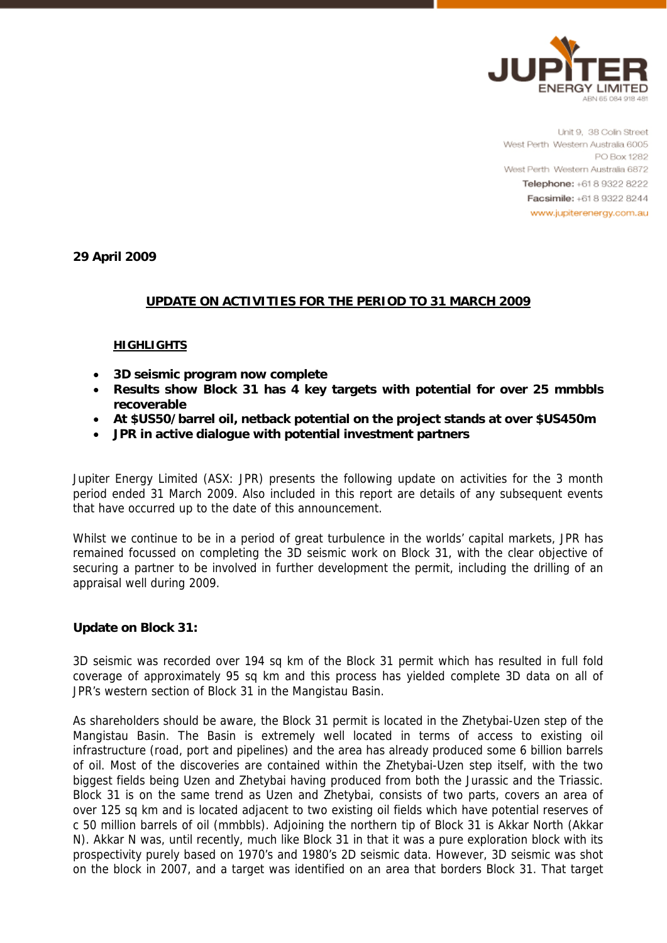

Unit 9, 38 Colin Street West Perth Western Australia 6005 PO Box 1282 West Perth Western Australia 6872 Telephone: +61 8 9322 8222 Facsimile: +61 8 9322 8244 www.jupiterenergy.com.au

**29 April 2009** 

## **UPDATE ON ACTIVITIES FOR THE PERIOD TO 31 MARCH 2009**

#### **HIGHLIGHTS**

- **3D seismic program now complete**
- **Results show Block 31 has 4 key targets with potential for over 25 mmbbls recoverable**
- **At \$US50/barrel oil, netback potential on the project stands at over \$US450m**
- **JPR in active dialogue with potential investment partners**

Jupiter Energy Limited (ASX: JPR) presents the following update on activities for the 3 month period ended 31 March 2009. Also included in this report are details of any subsequent events that have occurred up to the date of this announcement.

Whilst we continue to be in a period of great turbulence in the worlds' capital markets, JPR has remained focussed on completing the 3D seismic work on Block 31, with the clear objective of securing a partner to be involved in further development the permit, including the drilling of an appraisal well during 2009.

### **Update on Block 31:**

3D seismic was recorded over 194 sq km of the Block 31 permit which has resulted in full fold coverage of approximately 95 sq km and this process has yielded complete 3D data on all of JPR's western section of Block 31 in the Mangistau Basin.

As shareholders should be aware, the Block 31 permit is located in the Zhetybai-Uzen step of the Mangistau Basin. The Basin is extremely well located in terms of access to existing oil infrastructure (road, port and pipelines) and the area has already produced some 6 billion barrels of oil. Most of the discoveries are contained within the Zhetybai-Uzen step itself, with the two biggest fields being Uzen and Zhetybai having produced from both the Jurassic and the Triassic. Block 31 is on the same trend as Uzen and Zhetybai, consists of two parts, covers an area of over 125 sq km and is located adjacent to two existing oil fields which have potential reserves of c 50 million barrels of oil (mmbbls). Adjoining the northern tip of Block 31 is Akkar North (Akkar N). Akkar N was, until recently, much like Block 31 in that it was a pure exploration block with its prospectivity purely based on 1970's and 1980's 2D seismic data. However, 3D seismic was shot on the block in 2007, and a target was identified on an area that borders Block 31. That target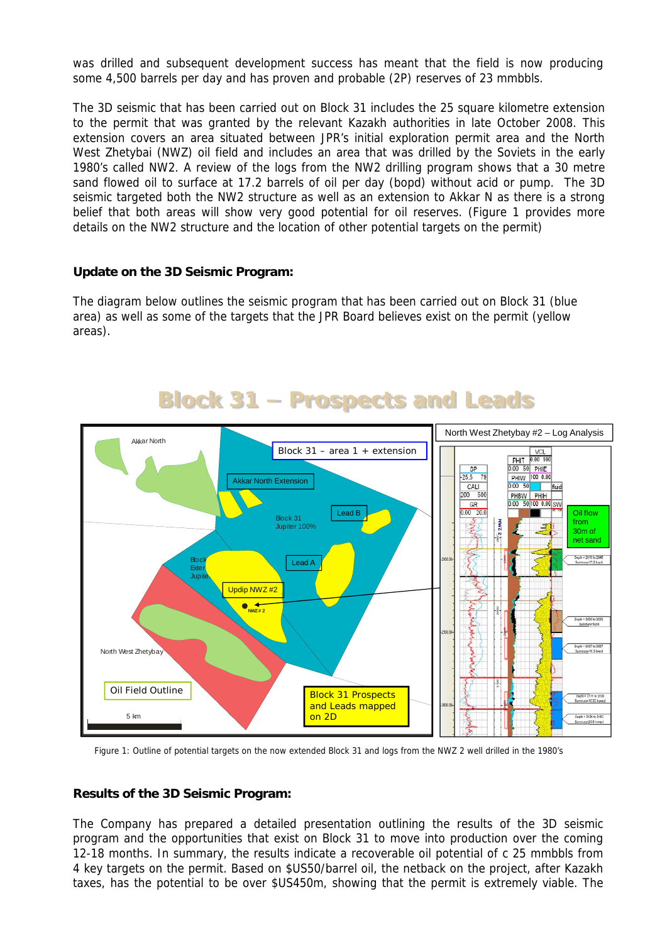was drilled and subsequent development success has meant that the field is now producing some 4,500 barrels per day and has proven and probable (2P) reserves of 23 mmbbls.

The 3D seismic that has been carried out on Block 31 includes the 25 square kilometre extension to the permit that was granted by the relevant Kazakh authorities in late October 2008. This extension covers an area situated between JPR's initial exploration permit area and the North West Zhetybai (NWZ) oil field and includes an area that was drilled by the Soviets in the early 1980's called NW2. A review of the logs from the NW2 drilling program shows that a 30 metre sand flowed oil to surface at 17.2 barrels of oil per day (bopd) without acid or pump. The 3D seismic targeted both the NW2 structure as well as an extension to Akkar N as there is a strong belief that both areas will show very good potential for oil reserves. (Figure 1 provides more details on the NW2 structure and the location of other potential targets on the permit)

## **Update on the 3D Seismic Program:**

The diagram below outlines the seismic program that has been carried out on Block 31 (blue area) as well as some of the targets that the JPR Board believes exist on the permit (yellow areas).



# **Block 31 – Prospects and Leads**

Figure 1: Outline of potential targets on the now extended Block 31 and logs from the NWZ 2 well drilled in the 1980's

### **Results of the 3D Seismic Program:**

The Company has prepared a detailed presentation outlining the results of the 3D seismic program and the opportunities that exist on Block 31 to move into production over the coming 12-18 months. In summary, the results indicate a recoverable oil potential of c 25 mmbbls from 4 key targets on the permit. Based on \$US50/barrel oil, the netback on the project, after Kazakh taxes, has the potential to be over \$US450m, showing that the permit is extremely viable. The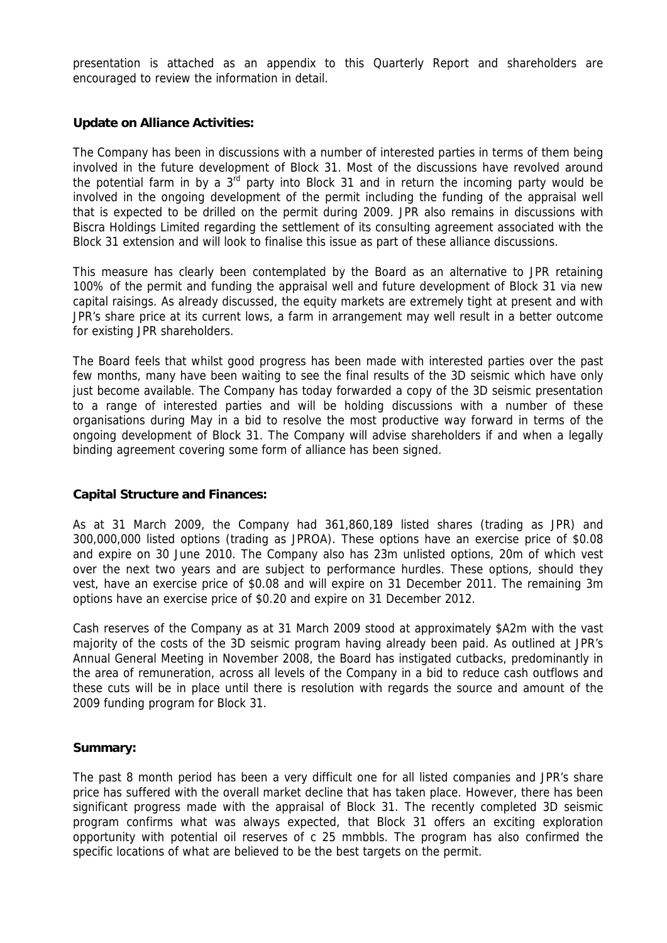presentation is attached as an appendix to this Quarterly Report and shareholders are encouraged to review the information in detail.

### **Update on Alliance Activities:**

The Company has been in discussions with a number of interested parties in terms of them being involved in the future development of Block 31. Most of the discussions have revolved around the potential farm in by a  $3^{rd}$  party into Block 31 and in return the incoming party would be involved in the ongoing development of the permit including the funding of the appraisal well that is expected to be drilled on the permit during 2009. JPR also remains in discussions with Biscra Holdings Limited regarding the settlement of its consulting agreement associated with the Block 31 extension and will look to finalise this issue as part of these alliance discussions.

This measure has clearly been contemplated by the Board as an alternative to JPR retaining 100% of the permit and funding the appraisal well and future development of Block 31 via new capital raisings. As already discussed, the equity markets are extremely tight at present and with JPR's share price at its current lows, a farm in arrangement may well result in a better outcome for existing JPR shareholders.

The Board feels that whilst good progress has been made with interested parties over the past few months, many have been waiting to see the final results of the 3D seismic which have only just become available. The Company has today forwarded a copy of the 3D seismic presentation to a range of interested parties and will be holding discussions with a number of these organisations during May in a bid to resolve the most productive way forward in terms of the ongoing development of Block 31. The Company will advise shareholders if and when a legally binding agreement covering some form of alliance has been signed.

### **Capital Structure and Finances:**

As at 31 March 2009, the Company had 361,860,189 listed shares (trading as JPR) and 300,000,000 listed options (trading as JPROA). These options have an exercise price of \$0.08 and expire on 30 June 2010. The Company also has 23m unlisted options, 20m of which vest over the next two years and are subject to performance hurdles. These options, should they vest, have an exercise price of \$0.08 and will expire on 31 December 2011. The remaining 3m options have an exercise price of \$0.20 and expire on 31 December 2012.

Cash reserves of the Company as at 31 March 2009 stood at approximately \$A2m with the vast majority of the costs of the 3D seismic program having already been paid. As outlined at JPR's Annual General Meeting in November 2008, the Board has instigated cutbacks, predominantly in the area of remuneration, across all levels of the Company in a bid to reduce cash outflows and these cuts will be in place until there is resolution with regards the source and amount of the 2009 funding program for Block 31.

### **Summary:**

The past 8 month period has been a very difficult one for all listed companies and JPR's share price has suffered with the overall market decline that has taken place. However, there has been significant progress made with the appraisal of Block 31. The recently completed 3D seismic program confirms what was always expected, that Block 31 offers an exciting exploration opportunity with potential oil reserves of c 25 mmbbls. The program has also confirmed the specific locations of what are believed to be the best targets on the permit.